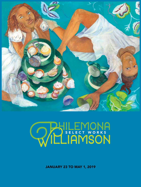

# **RASPLEMONA**

JANUARY 23 TO MAY 1, 2019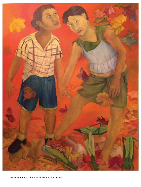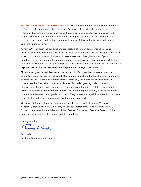IN 1834, CHARLES SMITH OLDEN – together with his new bride Phebe Ann Smith – returned to Princeton after a ten years absence in New Orleans. Using savings from a successful mercantile business and a small inheritance, he purchased his grandfather's homestead and authorized the construction of Drumthwacket. The impressive Greek revival style home and colossal portico is inspired by the southern architecture of the city that left an indelible mark upon the future Governor.

Almost 200 years later, the buildings and architecture of New Orleans continue to inspire New Jersey painter, Philemona Williamson. Each oil on paper piece features a single structure set against vibrant hues that simultaneously fill columns or seep through windows. Space is mostly undefined as background and foreground merge in the interplay of shape and color. Only the titles of each work root the images to a specific place. Philemona's house portraits simultaneously capture a respect for the past, celebrate the present and suggest the future.

Philemona's signature work features adolescent youth. Each oversized canvas is dominated by one or two figures set against rich colorful backgrounds punctuated with just enough information to set the scene. There is an element of fantasy that only the innocence of childhood can conjure, yet the dream-like tranquility is disrupted by the burgeoning undercurrents of adolescence. The dizzying transition from childhood to adulthood is breathlessly suspended within the universality of Philemona's figures. The young people depicted, in the artist's words, 'blur the lines between race, gender and class.' They represent *every* child and remind the viewer more of what unites the human experience than what may divide.

On behalf of the Drumthwacket Foundation, I would like to thank Philemona Williamson for generously sharing her work; June Kelly, owner and Director of the June Kelly Gallery, NYC for her assistance with the exhibit; and Robyn Brenner, Curator and Executive Director of the Foundation for bringing Philemona's work to Drumthwacket.

Tammy Murphy

Taning S Murphy.

First Lady President Drumthwacket Foundation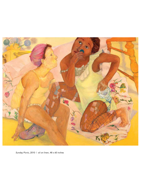

*Sunday Picnic*, 2010 | oil on linen, 48 x 60 inches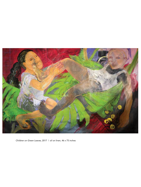

*Children on Green Leaves*, 2017 | oil on linen, 46 x 75 inches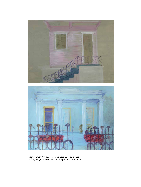

*(above) Orion Avenue* | oil on paper, 22 x 30 inches *(below) Melpomene Place* | oil on paper, 22 x 30 inches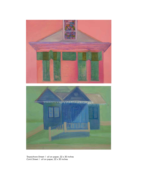

*Terpsichore Street* | oil on paper, 22 x 30 inches *Conti Street* | oil on paper, 22 x 30 inches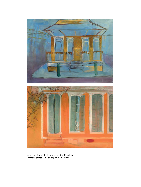

*Humanity Street* | oil on paper, 22 x 30 inches *Verbena Street* | oil on paper, 22 x 30 inches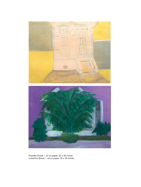

*Dryades Street* | oil on paper, 22 x 30 inches *Lowerline Street* | oil on paper, 22 x 30 inches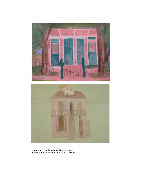



*Erato Street* | oil on paper, 22 x 30 inches *Pauger Street* | oil on paper, 22 x 30 inches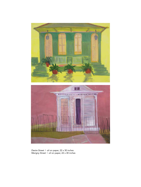

*Desire Street* | oil on paper, 22 x 30 inches *Marigny Street* | oil on paper, 22 x 30 inches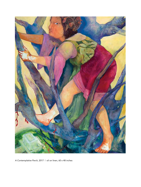

*A Contemplative Perch,* 2017 | oil on linen, 60 x 48 inches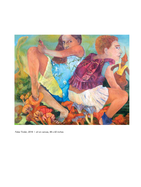

*False Tinder*, 2018 | oil on canvas, 48 x 60 inches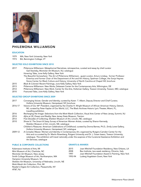

# PHILEMONA WILLIAMSON

### **EDUCATION**

- 1979 MA, New York University, New York
- 1973 BA, Bennington College, VT

### SELECTED SOLO EXHIBITIONS SINCE 2010

2017 *Philemona Williamson: Metaphorical Narratives,* retrospective, curated and essay by chief curator Gail Stavitsky, Montclair Art Museum, NJ; catalogue

*Hovering Tales,* June Kelly Gallery, New York

*The Beautiful Somewhere: The Art of Philemona Williamson,* guest curator, Arturo Lindsay, former Professor Emeritus and former Chair of the Department of Art and Art History, Spelman College, the Sonja Haynes Stone Center for Black Culture and History, University of North Carolina at Chapel Hill; brochure

- 2015 *Black & Colored: Recent Paintings,* June Kelly Gallery, New York
- 2013 *Philemona Williamson: New Works,* Delaware Center for the Contemporary Arts, Wilmington, DE
- 2012 *Philemona Williamson: New Work,* Center for the Arts, Holtzman Gallery, Towson University, Towson, MD; catalogue
- 2010 *Fractured Tales,* June Kelly Gallery, New York

### SELECTED GROUP EXHIBITIONS SINCE 2009

- 2017 *Converging Voices: Gender and Identity,* curated by Karen T. Albert, Deputy Director and Chief Curator, Hofstra University Museum, Hempstead, NY; brochure
- 2016-17 *Visions of Our 44th President,* organized by the Charles H. Wright Museum of African American History, Detroit, MI, curated by Peter Kaplan of Our World, LLC, The Black Archives Historic Lyric Theater, Miami, FL, travelling exhibition
- 2016 *Recharging the Image: Selections from the Mott-Warsh Collection,* Visual Arts Center of New Jersey, Summit, NJ
- 2014 *Aljira at 30, Dream and Reality,* New Jersey State Museum, Trenton
- 2012 *Five Decades of Collecting*, Sheldon Museum of Art, Lincoln, NE; catalogue
- 2010 *Shrew'd: The Smart & Sassy Survey of American Women Artists*, curated by Sharon Kennedy, Sheldon Museum of Art, Lincoln, NE; catalogue
	- *Children's Pleasures: American Celebrations of Childhood,* curated by Donna Barnes, Ph.D., Emily Lowe Gallery, Hofstra University Museum, Hempstead, NY; catalogue

2009-12 *A Complex Weave: Women and Identity in Contemporary Art*, organized by Rutgers-Camden Center for the Arts and co-curated by Dr. Martin Rosenberg, Rutgers University and Dr. J. Susan Isaacs, Towson University; catalogue. The exhibition will travel nationally under the auspices of the Curatorial Assistance Exhibition and Art Services; catalogue

### PUBLIC & CORPORATE COLLECTIONS

### Kalamazoo Institute of Arts, MI Mint Museum of Art, Charlotte, NC Montclair Art Museum, New Jersey Smith College Museum of Art, Northampton, MA Hampton University Museum, VA Sheldon Art Museum, University of Nebraska, Lincoln, NE Mott-Warsh Art Collection, Flint, MI Reader's Digest Art Collection, Pleasantville, NY AT&T, NJ

### GRANTS & AWARDS

| 2015    | Joan Mitchell Foundation Residency, New Orleans, LA  |
|---------|------------------------------------------------------|
| 2008    | Bau Institute, two-week residency, Otranto, Italy    |
| 1997    | Joan Mitchell Foundation Award in Painting, New York |
| 1993-94 | Ludwig Vogelstein Grant, New York                    |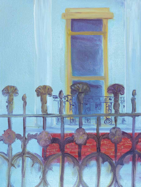